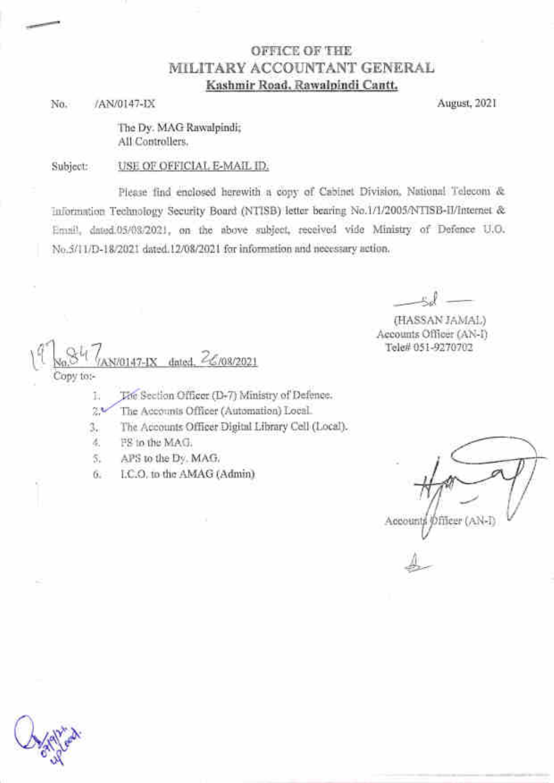### OFFICE OF THE MILITARY ACCOUNTANT GENERAL Kashmir Road, Rawalpindi Cantt.

/AN/0147-IX No.

August, 2021

The Dv. MAG Rawalpindi: All Controllers.

USE OF OFFICIAL E-MAIL ID. Subject:

Please find enclosed herewith a copy of Cabinet Division, National Telecom & Information Technology Security Board (NTISB) letter bearing No.1/1/2005/NTISB-II/Internet & Emnil, dated.05/08/2021, on the above subject, received vide Ministry of Defence U.O. No.5/11/D-18/2021 dated.12/08/2021 for information and necessary action.

(HASSAN JAMAL) Accounts Officer (AN-I) Tele# 051-9270702

47-IX dated, 26/08/2021 Copy to:-

The Section Officer (D-7) Ministry of Defence. Ŀ.

The Accounts Officer (Automation) Local.  $24$ 

The Accounts Officer Digital Library Cell (Local). 3.

FS to the MAG. ă.

APS to the Dy. MAG. 5.

LC.O. to the AMAG (Admin) 6.

**のfileer (AN-I)** Account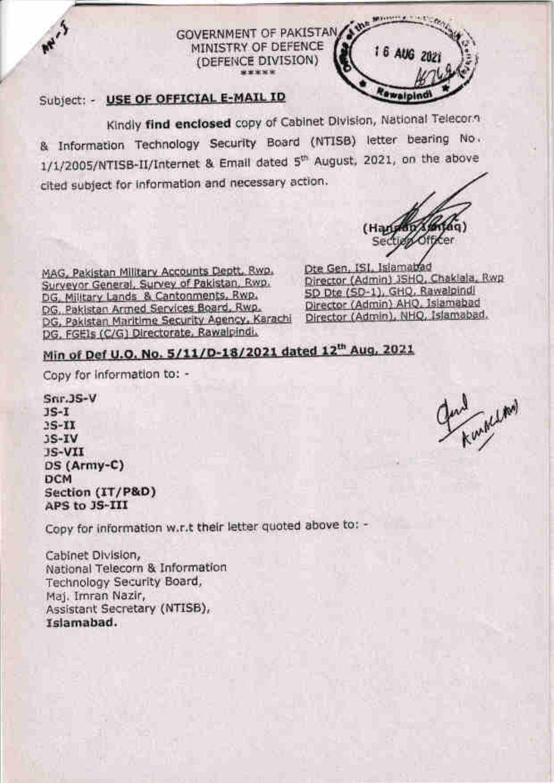

## Subject: - USE OF OFFICIAL E-MAIL ID

May.5

Kindly find enclosed copy of Cabinet Division, National Telecorn & Information Technology Security Board (NTISB) letter bearing No. 1/1/2005/NTISB-II/Internet & Email dated 5<sup>th</sup> August, 2021, on the above cited subject for information and necessary action.

(DEFENCE DIVISION)

(Han Section Officer Dte Gen, ISI, Islamabad

MAG, Pakistan Military Accounts Deptt, Rwo. Surveyor General, Survey of Pakistan, Rwp. DG, Military Lands & Cantonments, Rwp. DG, Pakistan Armed Services Board, Rwp. DG, Pakistan Maritime Security Agency, Karachi DG, FGEIs (C/G) Directorate, Rawalpindi,

Director (Admin) JSHQ, Chaklala, Rwp SD Dte (SD-1), GHQ, Rawalpindl Director (Admin) AHQ, Islamabad Director (Admin), NHQ, Islamabad,

# Min of Def U.O. No. 5/11/D-18/2021 dated 12th Aug, 2021

Copy for information to: -

 $Snr.$  JS-V  $JS-I$  $3S-III$  $3S-IV$ **JS-VII** DS (Army-C) **DCM** Section (IT/P&D) APS to JS-III

Copy for information w.r.t their letter quoted above to: -

Cabinet Division, National Telecorn & Information Technology Security Board, Maj. Imran Nazir, Assistant Secretary (NTISB), Islamabad.